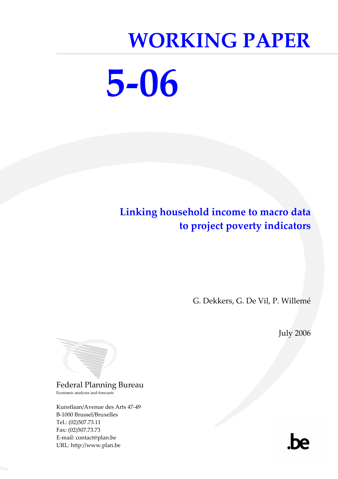# **WORKING PAPER**

# **5-06**

#### **Linking household income to macro data to project poverty indicators**

G. Dekkers, G. De Vil, P. Willemé

July 2006



Federal Planning Bureau Economic analyses and forecasts

Kunstlaan/Avenue des Arts 47-49 B-1000 Brussel/Bruxelles Tel.: (02)507.73.11 Fax: (02)507.73.73 E-mail: contact@plan.be URL: http://www.plan.be

.be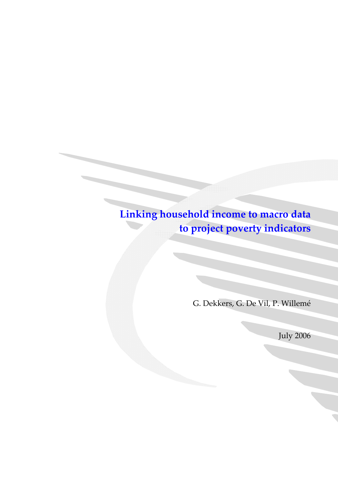## **Linking household income to macro data to project poverty indicators**

G. Dekkers, G. De Vil, P. Willemé

July 2006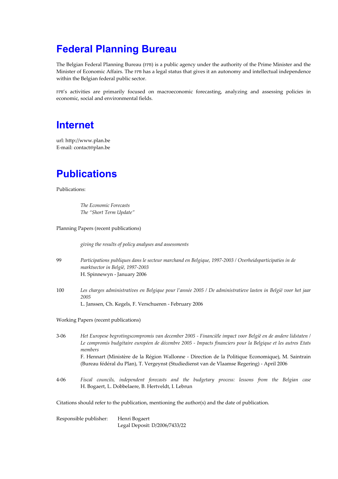#### **Federal Planning Bureau**

The Belgian Federal Planning Bureau (FPB) is a public agency under the authority of the Prime Minister and the Minister of Economic Affairs. The FPB has a legal status that gives it an autonomy and intellectual independence within the Belgian federal public sector.

FPB's activities are primarily focused on macroeconomic forecasting, analyzing and assessing policies in economic, social and environmental fields.

#### **Internet**

url: http://www.plan.be E-mail: contact@plan.be

#### **Publications**

Publications:

*The Economic Forecasts The "Short Term Update"* 

Planning Papers (recent publications)

*giving the results of policy analyses and assessments* 

- 99 *Participations publiques dans le secteur marchand en Belgique, 1997-2003 / Overheidsparticipaties in de marktsector in België, 1997-2003* H. Spinnewyn - January 2006
- 100 *Les charges administratives en Belgique pour l'année 2005 / De administratieve lasten in België voor het jaar 2005* L. Janssen, Ch. Kegels, F. Verschueren - February 2006

Working Papers (recent publications)

| 3-06 | Het Europese begrotingscompromis van december 2005 - Financiële impact voor België en de andere lidstaten / |  |  |  |  |  |  |  |
|------|-------------------------------------------------------------------------------------------------------------|--|--|--|--|--|--|--|
|      | Le compromis budgétaire européen de décembre 2005 - Impacts financiers pour la Belgique et les autres Etats |  |  |  |  |  |  |  |
|      | members                                                                                                     |  |  |  |  |  |  |  |
|      | F. Hennart (Ministère de la Région Wallonne - Direction de la Politique Economique), M. Saintrain           |  |  |  |  |  |  |  |
|      | (Bureau fédéral du Plan), T. Vergeynst (Studiedienst van de Vlaamse Regering) - April 2006                  |  |  |  |  |  |  |  |
|      |                                                                                                             |  |  |  |  |  |  |  |
|      |                                                                                                             |  |  |  |  |  |  |  |

4-06 *Fiscal councils, independent forecasts and the budgetary process: lessons from the Belgian case*  H. Bogaert, L. Dobbelaere, B. Hertveldt, I. Lebrun

Citations should refer to the publication, mentioning the author(s) and the date of publication.

Responsible publisher: Henri Bogaert Legal Deposit: D/2006/7433/22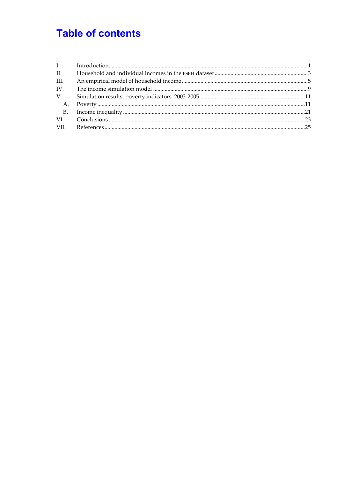### **Table of contents**

| $\mathbf{I}$ . |  |
|----------------|--|
| II.            |  |
| III.           |  |
| IV.            |  |
| V.             |  |
|                |  |
| <b>B.</b>      |  |
| VI.            |  |
|                |  |
|                |  |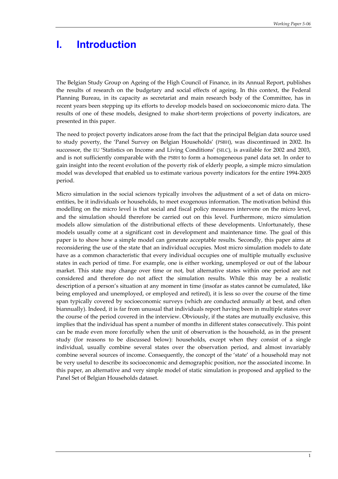#### **I. Introduction**

The Belgian Study Group on Ageing of the High Council of Finance, in its Annual Report, publishes the results of research on the budgetary and social effects of ageing. In this context, the Federal Planning Bureau, in its capacity as secretariat and main research body of the Committee, has in recent years been stepping up its efforts to develop models based on socioeconomic micro data. The results of one of these models, designed to make short-term projections of poverty indicators, are presented in this paper.

The need to project poverty indicators arose from the fact that the principal Belgian data source used to study poverty, the 'Panel Survey on Belgian Households' (PSBH), was discontinued in 2002. Its successor, the EU 'Statistics on Income and Living Conditions' (SILC), is available for 2002 and 2003, and is not sufficiently comparable with the PSBH to form a homogeneous panel data set. In order to gain insight into the recent evolution of the poverty risk of elderly people, a simple micro simulation model was developed that enabled us to estimate various poverty indicators for the entire 1994-2005 period.

Micro simulation in the social sciences typically involves the adjustment of a set of data on microentities, be it individuals or households, to meet exogenous information. The motivation behind this modelling on the micro level is that social and fiscal policy measures intervene on the micro level, and the simulation should therefore be carried out on this level. Furthermore, micro simulation models allow simulation of the distributional effects of these developments. Unfortunately, these models usually come at a significant cost in development and maintenance time. The goal of this paper is to show how a simple model can generate acceptable results. Secondly, this paper aims at reconsidering the use of the state that an individual occupies. Most micro simulation models to date have as a common characteristic that every individual occupies one of multiple mutually exclusive states in each period of time. For example, one is either working, unemployed or out of the labour market. This state may change over time or not, but alternative states within one period are not considered and therefore do not affect the simulation results. While this may be a realistic description of a person's situation at any moment in time (insofar as states cannot be cumulated, like being employed and unemployed, or employed and retired), it is less so over the course of the time span typically covered by socioeconomic surveys (which are conducted annually at best, and often biannually). Indeed, it is far from unusual that individuals report having been in multiple states over the course of the period covered in the interview. Obviously, if the states are mutually exclusive, this implies that the individual has spent a number of months in different states consecutively. This point can be made even more forcefully when the unit of observation is the household, as in the present study (for reasons to be discussed below): households, except when they consist of a single individual, usually combine several states over the observation period, and almost invariably combine several sources of income. Consequently, the concept of the 'state' of a household may not be very useful to describe its socioeconomic and demographic position, nor the associated income. In this paper, an alternative and very simple model of static simulation is proposed and applied to the Panel Set of Belgian Households dataset.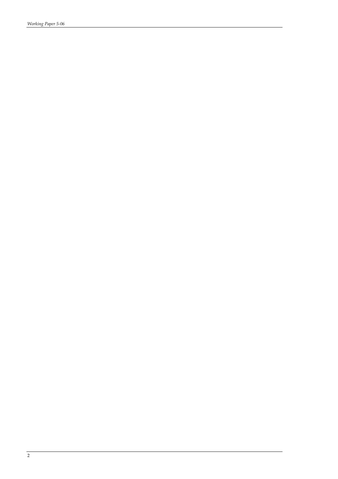*Working Paper 5-06*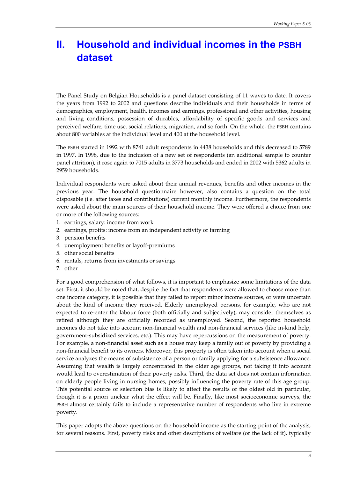#### **II. Household and individual incomes in the PSBH dataset**

The Panel Study on Belgian Households is a panel dataset consisting of 11 waves to date. It covers the years from 1992 to 2002 and questions describe individuals and their households in terms of demographics, employment, health, incomes and earnings, professional and other activities, housing and living conditions, possession of durables, affordability of specific goods and services and perceived welfare, time use, social relations, migration, and so forth. On the whole, the PSBH contains about 800 variables at the individual level and 400 at the household level.

The PSBH started in 1992 with 8741 adult respondents in 4438 households and this decreased to 5789 in 1997. In 1998, due to the inclusion of a new set of respondents (an additional sample to counter panel attrition), it rose again to 7015 adults in 3773 households and ended in 2002 with 5362 adults in 2959 households.

Individual respondents were asked about their annual revenues, benefits and other incomes in the previous year. The household questionnaire however, also contains a question on the total disposable (i.e. after taxes and contributions) current monthly income. Furthermore, the respondents were asked about the main sources of their household income. They were offered a choice from one or more of the following sources:

- 1. earnings, salary: income from work
- 2. earnings, profits: income from an independent activity or farming
- 3. pension benefits
- 4. unemployment benefits or layoff-premiums
- 5. other social benefits
- 6. rentals, returns from investments or savings
- 7. other

For a good comprehension of what follows, it is important to emphasize some limitations of the data set. First, it should be noted that, despite the fact that respondents were allowed to choose more than one income category, it is possible that they failed to report minor income sources, or were uncertain about the kind of income they received. Elderly unemployed persons, for example, who are not expected to re-enter the labour force (both officially and subjectively), may consider themselves as retired although they are officially recorded as unemployed. Second, the reported household incomes do not take into account non-financial wealth and non-financial services (like in-kind help, government-subsidized services, etc.). This may have repercussions on the measurement of poverty. For example, a non-financial asset such as a house may keep a family out of poverty by providing a non-financial benefit to its owners. Moreover, this property is often taken into account when a social service analyzes the means of subsistence of a person or family applying for a subsistence allowance. Assuming that wealth is largely concentrated in the older age groups, not taking it into account would lead to overestimation of their poverty risks. Third, the data set does not contain information on elderly people living in nursing homes, possibly influencing the poverty rate of this age group. This potential source of selection bias is likely to affect the results of the oldest old in particular, though it is a priori unclear what the effect will be. Finally, like most socioeconomic surveys, the PSBH almost certainly fails to include a representative number of respondents who live in extreme poverty.

This paper adopts the above questions on the household income as the starting point of the analysis, for several reasons. First, poverty risks and other descriptions of welfare (or the lack of it), typically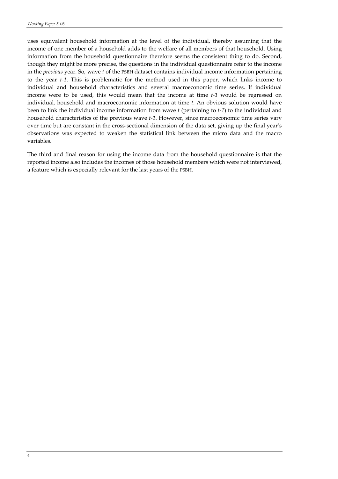uses equivalent household information at the level of the individual, thereby assuming that the income of one member of a household adds to the welfare of all members of that household. Using information from the household questionnaire therefore seems the consistent thing to do. Second, though they might be more precise, the questions in the individual questionnaire refer to the income in the *previous* year. So, wave *t* of the PSBH dataset contains individual income information pertaining to the year *t-1*. This is problematic for the method used in this paper, which links income to individual and household characteristics and several macroeconomic time series. If individual income were to be used, this would mean that the income at time *t-1* would be regressed on individual, household and macroeconomic information at time *t*. An obvious solution would have been to link the individual income information from wave *t* (pertaining to *t-1*) to the individual and household characteristics of the previous wave *t-1*. However, since macroeconomic time series vary over time but are constant in the cross-sectional dimension of the data set, giving up the final year's observations was expected to weaken the statistical link between the micro data and the macro variables.

The third and final reason for using the income data from the household questionnaire is that the reported income also includes the incomes of those household members which were not interviewed, a feature which is especially relevant for the last years of the PSBH.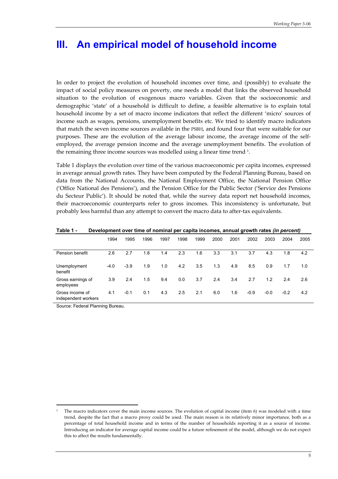#### **III. An empirical model of household income**

In order to project the evolution of household incomes over time, and (possibly) to evaluate the impact of social policy measures on poverty, one needs a model that links the observed household situation to the evolution of exogenous macro variables. Given that the socioeconomic and demographic 'state' of a household is difficult to define, a feasible alternative is to explain total household income by a set of macro income indicators that reflect the different 'micro' sources of income such as wages, pensions, unemployment benefits etc. We tried to identify macro indicators that match the seven income sources available in the PSBH, and found four that were suitable for our purposes. These are the evolution of the average labour income, the average income of the selfemployed, the average pension income and the average unemployment benefits. The evolution of the remaining three income sources was modelled using a linear time trend<sup>1</sup>.

Table 1 displays the evolution over time of the various macroeconomic per capita incomes, expressed in average annual growth rates. They have been computed by the Federal Planning Bureau, based on data from the National Accounts, the National Employment Office, the National Pension Office ('Office National des Pensions'), and the Pension Office for the Public Sector ('Service des Pensions du Secteur Public'). It should be noted that, while the survey data report net household incomes, their macroeconomic counterparts refer to gross incomes. This inconsistency is unfortunate, but probably less harmful than any attempt to convert the macro data to after-tax equivalents.

|                                        | 1994   | 1995   | 1996 | 1997 | 1998 | 1999 | 2000 | 2001 | 2002   | 2003   | 2004   | 2005 |
|----------------------------------------|--------|--------|------|------|------|------|------|------|--------|--------|--------|------|
| Pension benefit                        | 2.6    | 2.7    | 1.8  | 1.4  | 2.3  | 1.6  | 3.3  | 3.1  | 3.7    | 4.3    | 1.8    | 4.2  |
| Unemployment<br>benefit                | $-4.0$ | $-3.9$ | 1.9  | 1.0  | 4.2  | 3.5  | 1.3  | 4.9  | 8.5    | 0.9    | 1.7    | 1.0  |
| Gross earnings of<br>employees         | 3.9    | 2.4    | 1.5  | 9.4  | 0.0  | 3.7  | 2.4  | 3.4  | 2.7    | 1.2    | 2.4    | 2.6  |
| Gross income of<br>independent workers | 4.1    | $-0.1$ | 0.1  | 4.3  | 2.5  | 2.1  | 6.0  | 1.6  | $-0.9$ | $-0.0$ | $-0.2$ | 4.2  |

**Table 1 - Development over time of nominal per capita incomes, annual growth rates** *(in percent)*

Source: Federal Planning Bureau.

-

<sup>1</sup> The macro indicators cover the main income sources. The evolution of capital income (item 6) was modeled with a time trend, despite the fact that a macro proxy could be used. The main reason is its relatively minor importance, both as a percentage of total household income and in terms of the number of households reporting it as a source of income. Introducing an indicator for average capital income could be a future refinement of the model, although we do not expect this to affect the results fundamentally.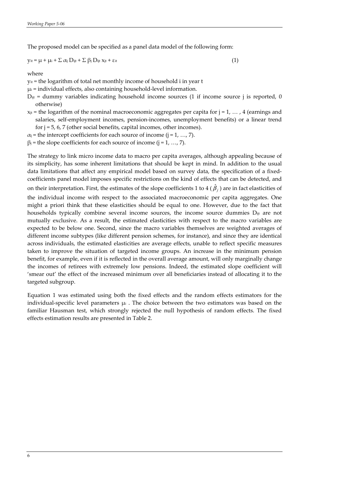The proposed model can be specified as a panel data model of the following form:

$$
y_{it} = \mu + \mu_i + \sum \alpha_i D_{ijt} + \sum \beta_i D_{ijt} x_{jt} + \varepsilon_{it}
$$
\n(1)

where

 $y_{it}$  = the logarithm of total net monthly income of household i in year t

- $\mu_i$  = individual effects, also containing household-level information.
- $D_{ijt}$  = dummy variables indicating household income sources (1 if income source j is reported, 0 otherwise)
- $x_{jt}$  = the logarithm of the nominal macroeconomic aggregates per capita for  $j = 1, \ldots, 4$  (earnings and salaries, self-employment incomes, pension-incomes, unemployment benefits) or a linear trend for  $j = 5$ , 6, 7 (other social benefits, capital incomes, other incomes).

 $\alpha$ <sub>j</sub> = the intercept coefficients for each source of income (j = 1, ..., 7).

 $\beta_j$  = the slope coefficients for each source of income (j = 1, ..., 7).

The strategy to link micro income data to macro per capita averages, although appealing because of its simplicity, has some inherent limitations that should be kept in mind. In addition to the usual data limitations that affect any empirical model based on survey data, the specification of a fixedcoefficients panel model imposes specific restrictions on the kind of effects that can be detected, and on their interpretation. First, the estimates of the slope coefficients 1 to 4 (  $\hat\beta_j$  ) are in fact elasticities of the individual income with respect to the associated macroeconomic per capita aggregates. One might a priori think that these elasticities should be equal to one. However, due to the fact that households typically combine several income sources, the income source dummies  $D_{ijt}$  are not mutually exclusive. As a result, the estimated elasticities with respect to the macro variables are expected to be below one. Second, since the macro variables themselves are weighted averages of different income subtypes (like different pension schemes, for instance), and since they are identical across individuals, the estimated elasticities are average effects, unable to reflect specific measures taken to improve the situation of targeted income groups. An increase in the minimum pension benefit, for example, even if it is reflected in the overall average amount, will only marginally change the incomes of retirees with extremely low pensions. Indeed, the estimated slope coefficient will 'smear out' the effect of the increased minimum over all beneficiaries instead of allocating it to the targeted subgroup.

Equation 1 was estimated using both the fixed effects and the random effects estimators for the individual-specific level parameters  $\mu$ i. The choice between the two estimators was based on the familiar Hausman test, which strongly rejected the null hypothesis of random effects. The fixed effects estimation results are presented in Table 2.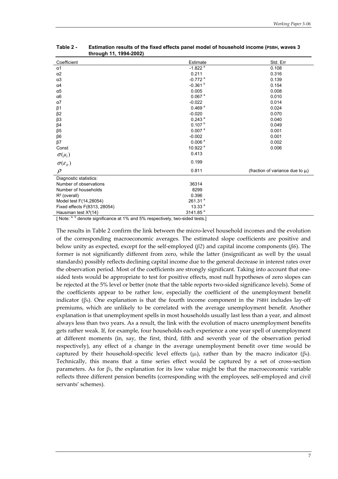| Coefficient                  | Estimate              | Std. Err                               |
|------------------------------|-----------------------|----------------------------------------|
| $\alpha$ 1                   | $-1.822$ <sup>a</sup> | 0.108                                  |
| α2                           | 0.211                 | 0.316                                  |
| α3                           | $-0.772$ <sup>a</sup> | 0.139                                  |
| $\alpha$ 4                   | $-0.361$ <sup>b</sup> | 0.154                                  |
| α5                           | 0.005                 | 0.008                                  |
| α6                           | $0.067$ <sup>a</sup>  | 0.010                                  |
| α7                           | $-0.022$              | 0.014                                  |
| $\beta$ 1                    | 0.469 <sup>a</sup>    | 0.024                                  |
| $\beta$ 2                    | $-0.020$              | 0.070                                  |
| $\beta$ 3                    | $0.243$ <sup>a</sup>  | 0.040                                  |
| β4                           | 0.107 h               | 0.049                                  |
| $\beta$ 5                    | 0.007 <sup>a</sup>    | 0.001                                  |
| β6                           | $-0.002$              | 0.001                                  |
| $\beta$ 7                    | 0.006 <sup>a</sup>    | 0.002                                  |
| Const                        | 10.922 <sup>a</sup>   | 0.006                                  |
| $\sigma(\mu_i)$              | 0.413                 |                                        |
| $\sigma(\varepsilon_{it})$   | 0.199                 |                                        |
| $\rho$                       | 0.811                 | (fraction of variance due to $\mu_i$ ) |
| Diagnostic statistics:       |                       |                                        |
| Number of observations       | 36314                 |                                        |
| Number of households         | 8299                  |                                        |
| $R^2$ (overall)              | 0.396                 |                                        |
| Model test F(14,28054)       | 261.31 <sup>a</sup>   |                                        |
| Fixed effects F(8313, 28054) | 13.33 <sup>a</sup>    |                                        |
| Hausman test $X^2(14)$       | 3141.85 $a$           |                                        |

**Table 2 - Estimation results of the fixed effects panel model of household income (PSBH, waves 3 through 11, 1994-2002)** 

[ Note: <sup>a, b</sup> denote significance at 1% and 5% respectively, two-sided tests.]

The results in Table 2 confirm the link between the micro-level household incomes and the evolution of the corresponding macroeconomic averages. The estimated slope coefficients are positive and below unity as expected, except for the self-employed (*β2*) and capital income components (*β6*). The former is not significantly different from zero, while the latter (insignificant as well by the usual standards) possibly reflects declining capital income due to the general decrease in interest rates over the observation period. Most of the coefficients are strongly significant. Taking into account that onesided tests would be appropriate to test for positive effects, most null hypotheses of zero slopes can be rejected at the 5% level or better (note that the table reports two-sided significance levels). Some of the coefficients appear to be rather low, especially the coefficient of the unemployment benefit indicator (β<sub>4</sub>). One explanation is that the fourth income component in the PSBH includes lay-off premiums, which are unlikely to be correlated with the average unemployment benefit. Another explanation is that unemployment spells in most households usually last less than a year, and almost always less than two years. As a result, the link with the evolution of macro unemployment benefits gets rather weak. If, for example, four households each experience a one year spell of unemployment at different moments (in, say, the first, third, fifth and seventh year of the observation period respectively), any effect of a change in the average unemployment benefit over time would be captured by their household-specific level effects (μi), rather than by the macro indicator (β4). Technically, this means that a time series effect would be captured by a set of cross-section parameters. As for  $β_3$ , the explanation for its low value might be that the macroeconomic variable reflects three different pension benefits (corresponding with the employees, self-employed and civil servants' schemes).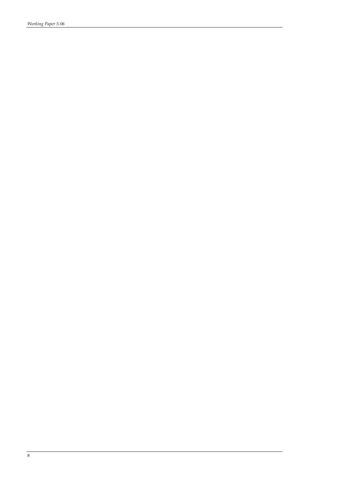*Working Paper 5-06*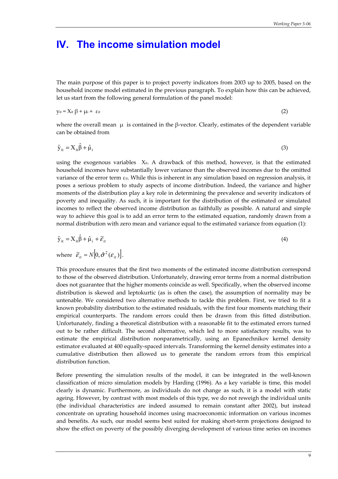#### **IV. The income simulation model**

The main purpose of this paper is to project poverty indicators from 2003 up to 2005, based on the household income model estimated in the previous paragraph. To explain how this can be achieved, let us start from the following general formulation of the panel model:

$$
y_{it} = X_{it} \beta + \mu_i + \varepsilon_{it} \tag{2}
$$

where the overall mean  $\mu$  is contained in the β-vector. Clearly, estimates of the dependent variable can be obtained from

$$
\hat{\mathbf{y}}_{it} = \mathbf{X}_{it}\hat{\beta} + \hat{\mu}_i
$$
\n(3)

using the exogenous variables Xit. A drawback of this method, however, is that the estimated household incomes have substantially lower variance than the observed incomes due to the omitted variance of the error term  $\varepsilon_{it}$ . While this is inherent in any simulation based on regression analysis, it poses a serious problem to study aspects of income distribution. Indeed, the variance and higher moments of the distribution play a key role in determining the prevalence and severity indicators of poverty and inequality. As such, it is important for the distribution of the estimated or simulated incomes to reflect the observed income distribution as faithfully as possible. A natural and simple way to achieve this goal is to add an error term to the estimated equation, randomly drawn from a normal distribution with zero mean and variance equal to the estimated variance from equation (1):

$$
\hat{\mathbf{y}}_{it} = \mathbf{X}_{it} \hat{\beta} + \hat{\mu}_i + \widetilde{\varepsilon}_{it}
$$
 (4)

where  $\widetilde{\varepsilon}_{it} \approx N[0, \hat{\sigma}^2(\varepsilon_{it})]$ .

This procedure ensures that the first two moments of the estimated income distribution correspond to those of the observed distribution. Unfortunately, drawing error terms from a normal distribution does not guarantee that the higher moments coincide as well. Specifically, when the observed income distribution is skewed and leptokurtic (as is often the case), the assumption of normality may be untenable. We considered two alternative methods to tackle this problem. First, we tried to fit a known probability distribution to the estimated residuals, with the first four moments matching their empirical counterparts. The random errors could then be drawn from this fitted distribution. Unfortunately, finding a theoretical distribution with a reasonable fit to the estimated errors turned out to be rather difficult. The second alternative, which led to more satisfactory results, was to estimate the empirical distribution nonparametrically, using an Epanechnikov kernel density estimator evaluated at 400 equally-spaced intervals. Transforming the kernel density estimates into a cumulative distribution then allowed us to generate the random errors from this empirical distribution function.

Before presenting the simulation results of the model, it can be integrated in the well-known classification of micro simulation models by Harding (1996). As a key variable is time, this model clearly is dynamic. Furthermore, as individuals do not change as such, it is a model with static ageing. However, by contrast with most models of this type, we do not reweigh the individual units (the individual characteristics are indeed assumed to remain constant after 2002), but instead concentrate on uprating household incomes using macroeconomic information on various incomes and benefits. As such, our model seems best suited for making short-term projections designed to show the effect on poverty of the possibly diverging development of various time series on incomes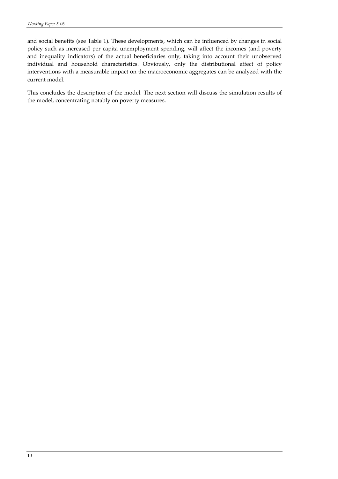and social benefits (see Table 1). These developments, which can be influenced by changes in social policy such as increased per capita unemployment spending, will affect the incomes (and poverty and inequality indicators) of the actual beneficiaries only, taking into account their unobserved individual and household characteristics. Obviously, only the distributional effect of policy interventions with a measurable impact on the macroeconomic aggregates can be analyzed with the current model.

This concludes the description of the model. The next section will discuss the simulation results of the model, concentrating notably on poverty measures.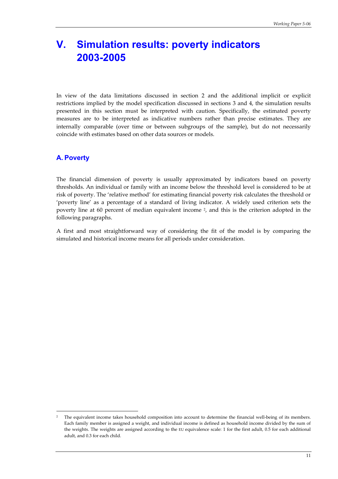#### **V. Simulation results: poverty indicators 2003-2005**

In view of the data limitations discussed in section 2 and the additional implicit or explicit restrictions implied by the model specification discussed in sections 3 and 4, the simulation results presented in this section must be interpreted with caution. Specifically, the estimated poverty measures are to be interpreted as indicative numbers rather than precise estimates. They are internally comparable (over time or between subgroups of the sample), but do not necessarily coincide with estimates based on other data sources or models.

#### **A. Poverty**

1

The financial dimension of poverty is usually approximated by indicators based on poverty thresholds. An individual or family with an income below the threshold level is considered to be at risk of poverty. The 'relative method' for estimating financial poverty risk calculates the threshold or 'poverty line' as a percentage of a standard of living indicator. A widely used criterion sets the poverty line at 60 percent of median equivalent income 2, and this is the criterion adopted in the following paragraphs.

A first and most straightforward way of considering the fit of the model is by comparing the simulated and historical income means for all periods under consideration.

<sup>2</sup> The equivalent income takes household composition into account to determine the financial well-being of its members. Each family member is assigned a weight, and individual income is defined as household income divided by the sum of the weights. The weights are assigned according to the EU equivalence scale: 1 for the first adult, 0.5 for each additional adult, and 0.3 for each child.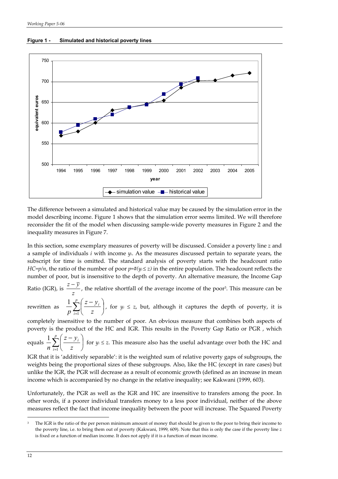



The difference between a simulated and historical value may be caused by the simulation error in the model describing income. Figure 1 shows that the simulation error seems limited. We will therefore reconsider the fit of the model when discussing sample-wide poverty measures in Figure 2 and the inequality measures in Figure 7.

In this section, some exemplary measures of poverty will be discussed. Consider a poverty line *z* and a sample of individuals *i* with income *yi*. As the measures discussed pertain to separate years, the subscript for time is omitted. The standard analysis of poverty starts with the headcount ratio *HC=p/n*, the ratio of the number of poor  $p=\#(y_i \leq z)$  in the entire population. The headcount reflects the number of poor, but is insensitive to the depth of poverty. An alternative measure, the Income Gap Ratio (IGR), is  $\frac{z-\bar{y}}{z}$ , the relative shortfall of the average income of the poor<sup>3</sup>. This measure can be

rewritten as  $\frac{1}{p} \sum_{i=1}^{n}$  $\overline{\phantom{a}}$ J  $\left(\frac{z-y_i}{\cdot}\right)$  $\setminus$  − *<sup>p</sup> i i z z y*  $p \nightharpoonup_{i=1}$ 1 , for *yi ≤ z*, but, although it captures the depth of poverty, it is

completely insensitive to the number of poor. An obvious measure that combines both aspects of poverty is the product of the HC and IGR. This results in the Poverty Gap Ratio or PGR , which

equals  $\frac{1}{n} \sum_{i=1}^{n}$  $\overline{\phantom{a}}$ J  $\left(\frac{z-y_i}{\cdot}\right)$  $\setminus$  − *<sup>p</sup> i i z z y*  $n \sum_{i=1}$ 1 for *yi ≤ z*. This measure also has the useful advantage over both the HC and

IGR that it is 'additively separable': it is the weighted sum of relative poverty gaps of subgroups, the weights being the proportional sizes of these subgroups. Also, like the HC (except in rare cases) but unlike the IGR, the PGR will decrease as a result of economic growth (defined as an increase in mean income which is accompanied by no change in the relative inequality; see Kakwani (1999, 603).

Unfortunately, the PGR as well as the IGR and HC are insensitive to transfers among the poor. In other words, if a poorer individual transfers money to a less poor individual, neither of the above measures reflect the fact that income inequality between the poor will increase. The Squared Poverty

-

<sup>&</sup>lt;sup>3</sup> The IGR is the ratio of the per person minimum amount of money that should be given to the poor to bring their income to the poverty line, i.e. to bring them out of poverty (Kakwani, 1999, 609). Note that this is only the case if the poverty line *z* is fixed or a function of median income. It does not apply if it is a function of mean income.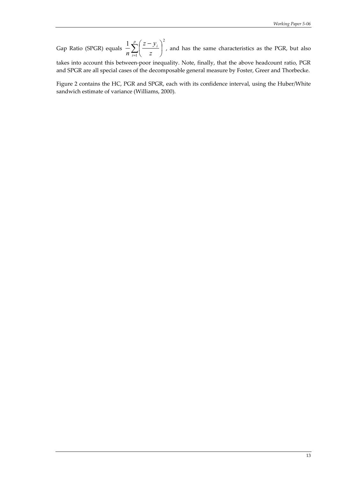Gap Ratio (SPGR) equals 2 1  $\frac{1}{n}\sum_{i=1}^p$  $\overline{\phantom{a}}$ J  $\left(\frac{z-y_i}{z}\right)$  $\setminus$  − *<sup>p</sup> i i z z y*  $\frac{1}{n}$   $\sum_{i=1}^{\infty}$   $\frac{1}{z}$  , and has the same characteristics as the PGR, but also

takes into account this between-poor inequality. Note, finally, that the above headcount ratio, PGR and SPGR are all special cases of the decomposable general measure by Foster, Greer and Thorbecke.

Figure 2 contains the HC, PGR and SPGR, each with its confidence interval, using the Huber/White sandwich estimate of variance (Williams, 2000).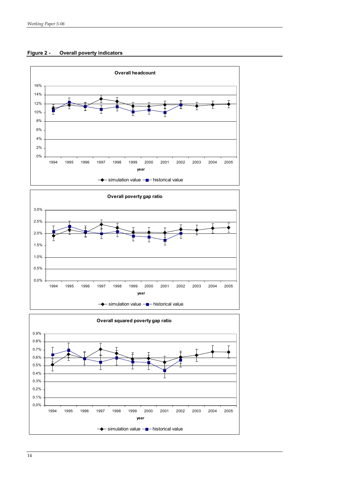





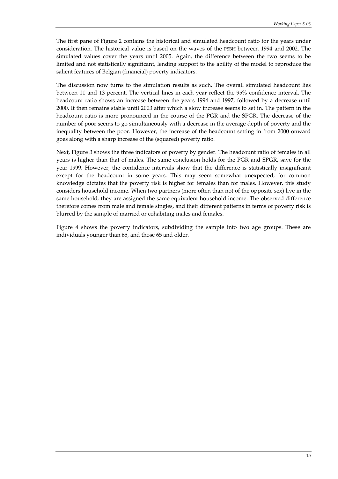The first pane of Figure 2 contains the historical and simulated headcount ratio for the years under consideration. The historical value is based on the waves of the PSBH between 1994 and 2002. The simulated values cover the years until 2005. Again, the difference between the two seems to be limited and not statistically significant, lending support to the ability of the model to reproduce the salient features of Belgian (financial) poverty indicators.

The discussion now turns to the simulation results as such. The overall simulated headcount lies between 11 and 13 percent. The vertical lines in each year reflect the 95% confidence interval. The headcount ratio shows an increase between the years 1994 and 1997, followed by a decrease until 2000. It then remains stable until 2003 after which a slow increase seems to set in. The pattern in the headcount ratio is more pronounced in the course of the PGR and the SPGR. The decrease of the number of poor seems to go simultaneously with a decrease in the average depth of poverty and the inequality between the poor. However, the increase of the headcount setting in from 2000 onward goes along with a sharp increase of the (squared) poverty ratio.

Next, Figure 3 shows the three indicators of poverty by gender. The headcount ratio of females in all years is higher than that of males. The same conclusion holds for the PGR and SPGR, save for the year 1999. However, the confidence intervals show that the difference is statistically insignificant except for the headcount in some years. This may seem somewhat unexpected, for common knowledge dictates that the poverty risk is higher for females than for males. However, this study considers household income. When two partners (more often than not of the opposite sex) live in the same household, they are assigned the same equivalent household income. The observed difference therefore comes from male and female singles, and their different patterns in terms of poverty risk is blurred by the sample of married or cohabiting males and females.

Figure 4 shows the poverty indicators, subdividing the sample into two age groups. These are individuals younger than 65, and those 65 and older.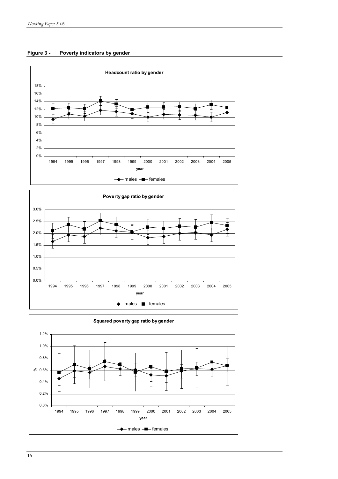





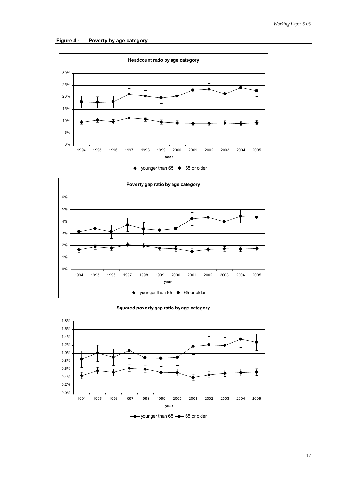





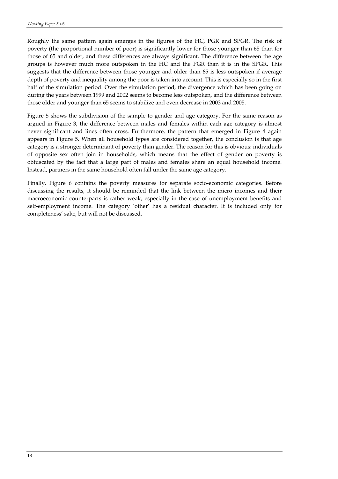Roughly the same pattern again emerges in the figures of the HC, PGR and SPGR. The risk of poverty (the proportional number of poor) is significantly lower for those younger than 65 than for those of 65 and older, and these differences are always significant. The difference between the age groups is however much more outspoken in the HC and the PGR than it is in the SPGR. This suggests that the difference between those younger and older than 65 is less outspoken if average depth of poverty and inequality among the poor is taken into account. This is especially so in the first half of the simulation period. Over the simulation period, the divergence which has been going on during the years between 1999 and 2002 seems to become less outspoken, and the difference between those older and younger than 65 seems to stabilize and even decrease in 2003 and 2005.

Figure 5 shows the subdivision of the sample to gender and age category. For the same reason as argued in Figure 3, the difference between males and females within each age category is almost never significant and lines often cross. Furthermore, the pattern that emerged in Figure 4 again appears in Figure 5. When all household types are considered together, the conclusion is that age category is a stronger determinant of poverty than gender. The reason for this is obvious: individuals of opposite sex often join in households, which means that the effect of gender on poverty is obfuscated by the fact that a large part of males and females share an equal household income. Instead, partners in the same household often fall under the same age category.

Finally, Figure 6 contains the poverty measures for separate socio-economic categories. Before discussing the results, it should be reminded that the link between the micro incomes and their macroeconomic counterparts is rather weak, especially in the case of unemployment benefits and self-employment income. The category 'other' has a residual character. It is included only for completeness' sake, but will not be discussed.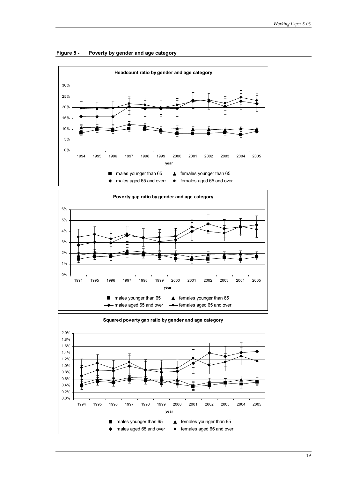

**Figure 5 - Poverty by gender and age category**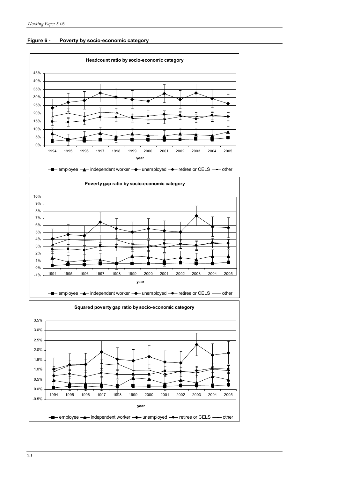

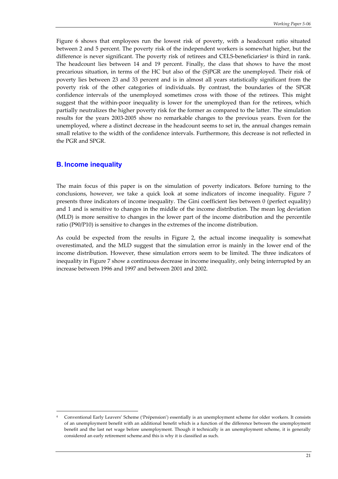Figure 6 shows that employees run the lowest risk of poverty, with a headcount ratio situated between 2 and 5 percent. The poverty risk of the independent workers is somewhat higher, but the difference is never significant. The poverty risk of retirees and CELS-beneficiaries<sup>4</sup> is third in rank. The headcount lies between 14 and 19 percent. Finally, the class that shows to have the most precarious situation, in terms of the HC but also of the (S)PGR are the unemployed. Their risk of poverty lies between 23 and 33 percent and is in almost all years statistically significant from the poverty risk of the other categories of individuals. By contrast, the boundaries of the SPGR confidence intervals of the unemployed sometimes cross with those of the retirees. This might suggest that the within-poor inequality is lower for the unemployed than for the retirees, which partially neutralizes the higher poverty risk for the former as compared to the latter. The simulation results for the years 2003-2005 show no remarkable changes to the previous years. Even for the unemployed, where a distinct decrease in the headcount seems to set in, the annual changes remain small relative to the width of the confidence intervals. Furthermore, this decrease is not reflected in the PGR and SPGR.

#### **B. Income inequality**

The main focus of this paper is on the simulation of poverty indicators. Before turning to the conclusions, however, we take a quick look at some indicators of income inequality. Figure 7 presents three indicators of income inequality. The Gini coefficient lies between 0 (perfect equality) and 1 and is sensitive to changes in the middle of the income distribution. The mean log deviation (MLD) is more sensitive to changes in the lower part of the income distribution and the percentile ratio (P90/P10) is sensitive to changes in the extremes of the income distribution.

As could be expected from the results in Figure 2, the actual income inequality is somewhat overestimated, and the MLD suggest that the simulation error is mainly in the lower end of the income distribution. However, these simulation errors seem to be limited. The three indicators of inequality in Figure 7 show a continuous decrease in income inequality, only being interrupted by an increase between 1996 and 1997 and between 2001 and 2002.

<sup>1</sup> 4 Conventional Early Leavers' Scheme ('Prépension') essentially is an unemployment scheme for older workers. It consists of an unemployment benefit with an additional benefit which is a function of the difference between the unemployment benefit and the last net wage before unemployment. Though it technically is an unemployment scheme, it is generally considered an early retirement scheme.and this is why it is classified as such.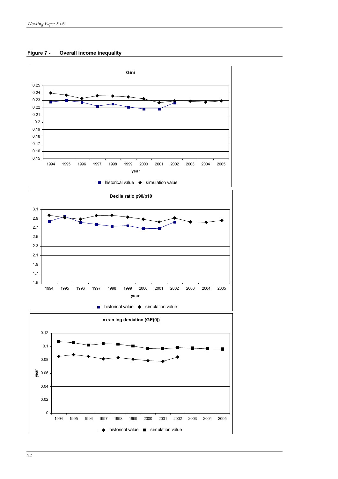

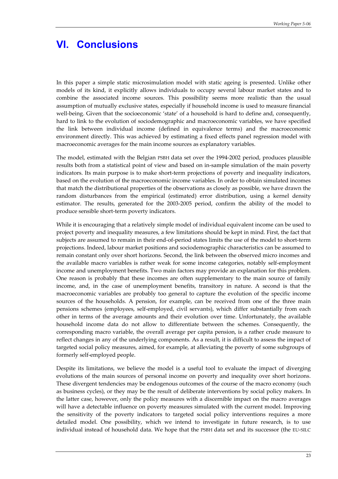#### **VI. Conclusions**

In this paper a simple static microsimulation model with static ageing is presented. Unlike other models of its kind, it explicitly allows individuals to occupy several labour market states and to combine the associated income sources. This possibility seems more realistic than the usual assumption of mutually exclusive states, especially if household income is used to measure financial well-being. Given that the socioeconomic 'state' of a household is hard to define and, consequently, hard to link to the evolution of sociodemographic and macroeconomic variables, we have specified the link between individual income (defined in equivalence terms) and the macroeconomic environment directly. This was achieved by estimating a fixed effects panel regression model with macroeconomic averages for the main income sources as explanatory variables.

The model, estimated with the Belgian PSBH data set over the 1994-2002 period, produces plausible results both from a statistical point of view and based on in-sample simulation of the main poverty indicators. Its main purpose is to make short-term projections of poverty and inequality indicators, based on the evolution of the macroeconomic income variables. In order to obtain simulated incomes that match the distributional properties of the observations as closely as possible, we have drawn the random disturbances from the empirical (estimated) error distribution, using a kernel density estimator. The results, generated for the 2003-2005 period, confirm the ability of the model to produce sensible short-term poverty indicators.

While it is encouraging that a relatively simple model of individual equivalent income can be used to project poverty and inequality measures, a few limitations should be kept in mind. First, the fact that subjects are assumed to remain in their end-of-period states limits the use of the model to short-term projections. Indeed, labour market positions and sociodemographic characteristics can be assumed to remain constant only over short horizons. Second, the link between the observed micro incomes and the available macro variables is rather weak for some income categories, notably self-employment income and unemployment benefits. Two main factors may provide an explanation for this problem. One reason is probably that these incomes are often supplementary to the main source of family income, and, in the case of unemployment benefits, transitory in nature. A second is that the macroeconomic variables are probably too general to capture the evolution of the specific income sources of the households. A pension, for example, can be received from one of the three main pensions schemes (employees, self-employed, civil servants), which differ substantially from each other in terms of the average amounts and their evolution over time. Unfortunately, the available household income data do not allow to differentiate between the schemes. Consequently, the corresponding macro variable, the overall average per capita pension, is a rather crude measure to reflect changes in any of the underlying components. As a result, it is difficult to assess the impact of targeted social policy measures, aimed, for example, at alleviating the poverty of some subgroups of formerly self-employed people.

Despite its limitations, we believe the model is a useful tool to evaluate the impact of diverging evolutions of the main sources of personal income on poverty and inequality over short horizons. These divergent tendencies may be endogenous outcomes of the course of the macro economy (such as business cycles), or they may be the result of deliberate interventions by social policy makers. In the latter case, however, only the policy measures with a discernible impact on the macro averages will have a detectable influence on poverty measures simulated with the current model. Improving the sensitivity of the poverty indicators to targeted social policy interventions requires a more detailed model. One possibility, which we intend to investigate in future research, is to use individual instead of household data. We hope that the PSBH data set and its successor (the EU-SILC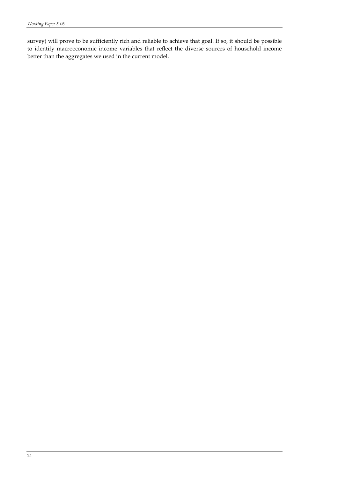survey) will prove to be sufficiently rich and reliable to achieve that goal. If so, it should be possible to identify macroeconomic income variables that reflect the diverse sources of household income better than the aggregates we used in the current model.